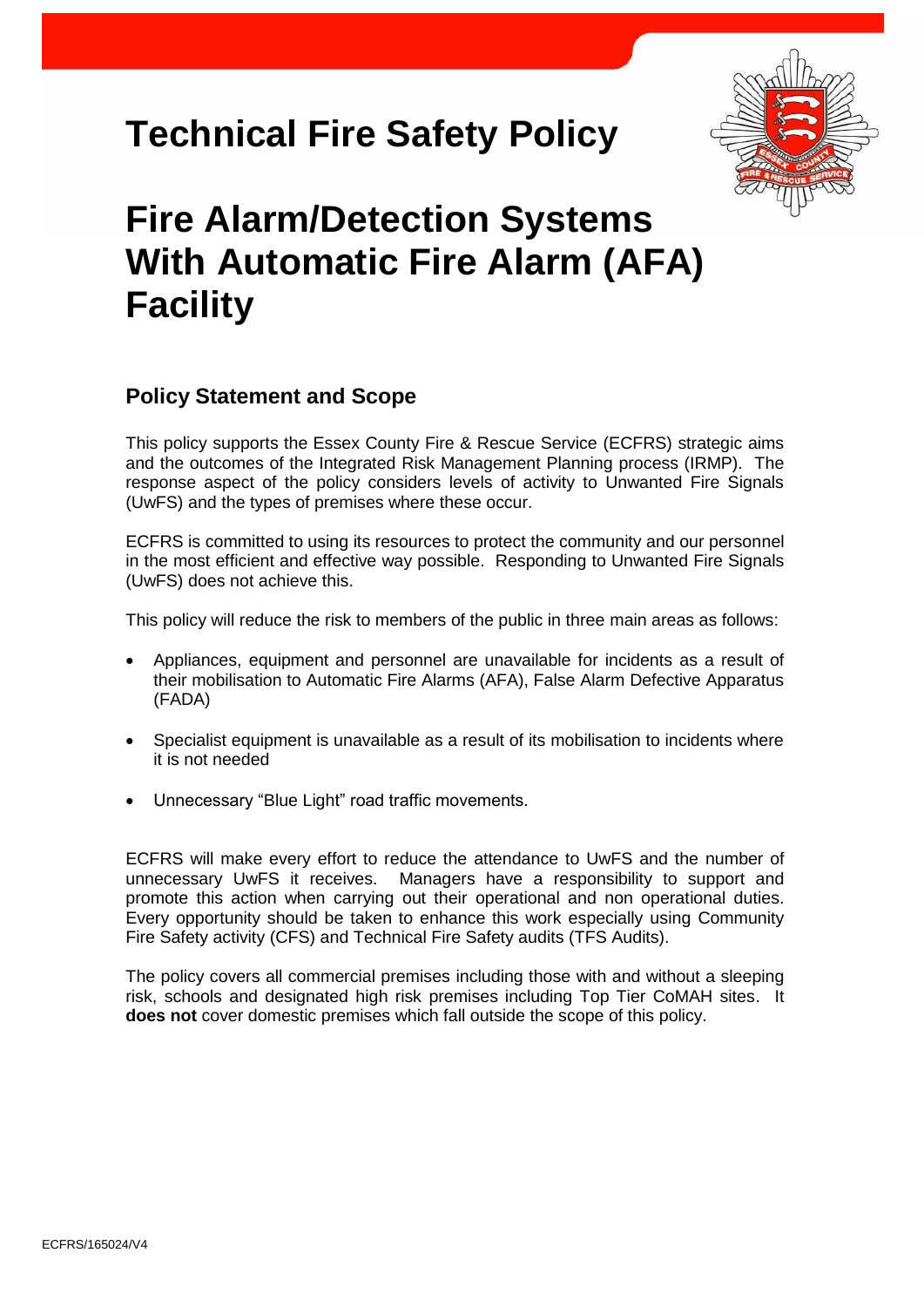# **Technical Fire Safety Policy**



# **Fire Alarm/Detection Systems With Automatic Fire Alarm (AFA) Facility**

### **Policy Statement and Scope**

This policy supports the Essex County Fire & Rescue Service (ECFRS) strategic aims and the outcomes of the Integrated Risk Management Planning process (IRMP). The response aspect of the policy considers levels of activity to Unwanted Fire Signals (UwFS) and the types of premises where these occur.

ECFRS is committed to using its resources to protect the community and our personnel in the most efficient and effective way possible. Responding to Unwanted Fire Signals (UwFS) does not achieve this.

This policy will reduce the risk to members of the public in three main areas as follows:

- Appliances, equipment and personnel are unavailable for incidents as a result of their mobilisation to Automatic Fire Alarms (AFA), False Alarm Defective Apparatus (FADA)
- Specialist equipment is unavailable as a result of its mobilisation to incidents where it is not needed
- Unnecessary "Blue Light" road traffic movements.

ECFRS will make every effort to reduce the attendance to UwFS and the number of unnecessary UwFS it receives. Managers have a responsibility to support and promote this action when carrying out their operational and non operational duties. Every opportunity should be taken to enhance this work especially using Community Fire Safety activity (CFS) and Technical Fire Safety audits (TFS Audits).

The policy covers all commercial premises including those with and without a sleeping risk, schools and designated high risk premises including Top Tier CoMAH sites. It **does not** cover domestic premises which fall outside the scope of this policy.